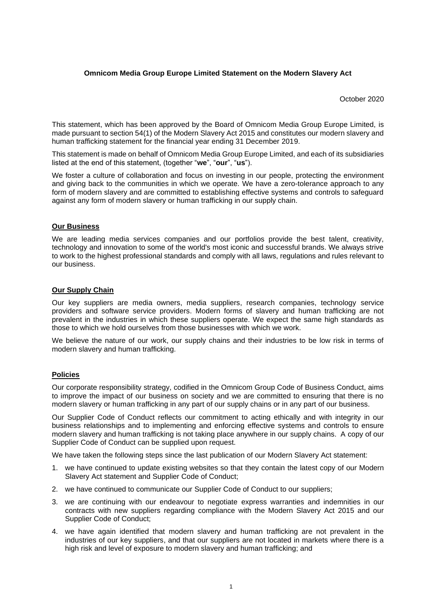## **Omnicom Media Group Europe Limited Statement on the Modern Slavery Act**

October 2020

This statement, which has been approved by the Board of Omnicom Media Group Europe Limited, is made pursuant to section 54(1) of the Modern Slavery Act 2015 and constitutes our modern slavery and human trafficking statement for the financial year ending 31 December 2019.

This statement is made on behalf of Omnicom Media Group Europe Limited, and each of its subsidiaries listed at the end of this statement, (together "**we**", "**our**", "**us**").

We foster a culture of collaboration and focus on investing in our people, protecting the environment and giving back to the communities in which we operate. We have a zero-tolerance approach to any form of modern slavery and are committed to establishing effective systems and controls to safeguard against any form of modern slavery or human trafficking in our supply chain.

## **Our Business**

We are leading media services companies and our portfolios provide the best talent, creativity, technology and innovation to some of the world's most iconic and successful brands. We always strive to work to the highest professional standards and comply with all laws, regulations and rules relevant to our business.

## **Our Supply Chain**

Our key suppliers are media owners, media suppliers, research companies, technology service providers and software service providers. Modern forms of slavery and human trafficking are not prevalent in the industries in which these suppliers operate. We expect the same high standards as those to which we hold ourselves from those businesses with which we work.

We believe the nature of our work, our supply chains and their industries to be low risk in terms of modern slavery and human trafficking.

## **Policies**

Our corporate responsibility strategy, codified in the Omnicom Group Code of Business Conduct, aims to improve the impact of our business on society and we are committed to ensuring that there is no modern slavery or human trafficking in any part of our supply chains or in any part of our business.

Our Supplier Code of Conduct reflects our commitment to acting ethically and with integrity in our business relationships and to implementing and enforcing effective systems and controls to ensure modern slavery and human trafficking is not taking place anywhere in our supply chains. A copy of our Supplier Code of Conduct can be supplied upon request.

We have taken the following steps since the last publication of our Modern Slavery Act statement:

- 1. we have continued to update existing websites so that they contain the latest copy of our Modern Slavery Act statement and Supplier Code of Conduct;
- 2. we have continued to communicate our Supplier Code of Conduct to our suppliers;
- 3. we are continuing with our endeavour to negotiate express warranties and indemnities in our contracts with new suppliers regarding compliance with the Modern Slavery Act 2015 and our Supplier Code of Conduct;
- 4. we have again identified that modern slavery and human trafficking are not prevalent in the industries of our key suppliers, and that our suppliers are not located in markets where there is a high risk and level of exposure to modern slavery and human trafficking; and